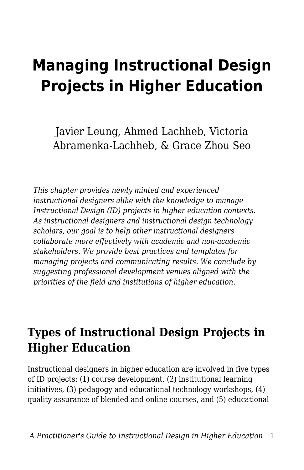# **Managing Instructional Design Projects in Higher Education**

Javier Leung, Ahmed Lachheb, Victoria Abramenka-Lachheb, & Grace Zhou Seo

*This chapter provides newly minted and experienced instructional designers alike with the knowledge to manage Instructional Design (ID) projects in higher education contexts. As instructional designers and instructional design technology scholars, our goal is to help other instructional designers collaborate more effectively with academic and non-academic stakeholders. We provide best practices and templates for managing projects and communicating results. We conclude by suggesting professional development venues aligned with the priorities of the field and institutions of higher education.*

### **Types of Instructional Design Projects in Higher Education**

Instructional designers in higher education are involved in five types of ID projects: (1) course development, (2) institutional learning initiatives, (3) pedagogy and educational technology workshops, (4) quality assurance of blended and online courses, and (5) educational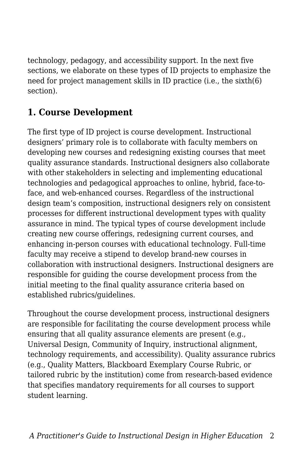technology, pedagogy, and accessibility support. In the next five sections, we elaborate on these types of ID projects to emphasize the need for project management skills in ID practice (i.e., the sixth(6) section).

### **1. Course Development**

The first type of ID project is course development. Instructional designers' primary role is to collaborate with faculty members on developing new courses and redesigning existing courses that meet quality assurance standards. Instructional designers also collaborate with other stakeholders in selecting and implementing educational technologies and pedagogical approaches to online, hybrid, face-toface, and web-enhanced courses. Regardless of the instructional design team's composition, instructional designers rely on consistent processes for different instructional development types with quality assurance in mind. The typical types of course development include creating new course offerings, redesigning current courses, and enhancing in-person courses with educational technology. Full-time faculty may receive a stipend to develop brand-new courses in collaboration with instructional designers. Instructional designers are responsible for guiding the course development process from the initial meeting to the final quality assurance criteria based on established rubrics/guidelines.

Throughout the course development process, instructional designers are responsible for facilitating the course development process while ensuring that all quality assurance elements are present (e.g., Universal Design, Community of Inquiry, instructional alignment, technology requirements, and accessibility). Quality assurance rubrics (e.g., Quality Matters, Blackboard Exemplary Course Rubric, or tailored rubric by the institution) come from research-based evidence that specifies mandatory requirements for all courses to support student learning.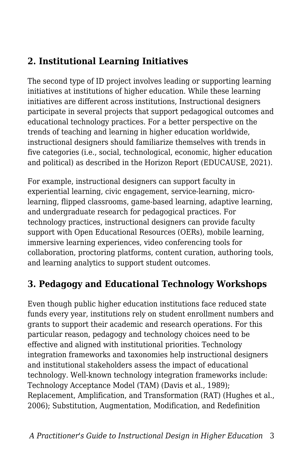### **2. Institutional Learning Initiatives**

The second type of ID project involves leading or supporting learning initiatives at institutions of higher education. While these learning initiatives are different across institutions, Instructional designers participate in several projects that support pedagogical outcomes and educational technology practices. For a better perspective on the trends of teaching and learning in higher education worldwide, instructional designers should familiarize themselves with trends in five categories (i.e., social, technological, economic, higher education and political) as described in the Horizon Report (EDUCAUSE, 2021).

For example, instructional designers can support faculty in experiential learning, civic engagement, service-learning, microlearning, flipped classrooms, game-based learning, adaptive learning, and undergraduate research for pedagogical practices. For technology practices, instructional designers can provide faculty support with Open Educational Resources (OERs), mobile learning, immersive learning experiences, video conferencing tools for collaboration, proctoring platforms, content curation, authoring tools, and learning analytics to support student outcomes.

### **3. Pedagogy and Educational Technology Workshops**

Even though public higher education institutions face reduced state funds every year, institutions rely on student enrollment numbers and grants to support their academic and research operations. For this particular reason, pedagogy and technology choices need to be effective and aligned with institutional priorities. Technology integration frameworks and taxonomies help instructional designers and institutional stakeholders assess the impact of educational technology. Well-known technology integration frameworks include: Technology Acceptance Model (TAM) (Davis et al., 1989); Replacement, Amplification, and Transformation (RAT) (Hughes et al., 2006); Substitution, Augmentation, Modification, and Redefinition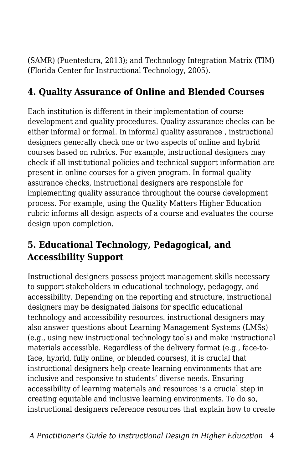(SAMR) (Puentedura, 2013); and Technology Integration Matrix (TIM) (Florida Center for Instructional Technology, 2005).

### **4. Quality Assurance of Online and Blended Courses**

Each institution is different in their implementation of course development and quality procedures. Quality assurance checks can be either informal or formal. In informal quality assurance , instructional designers generally check one or two aspects of online and hybrid courses based on rubrics. For example, instructional designers may check if all institutional policies and technical support information are present in online courses for a given program. In formal quality assurance checks, instructional designers are responsible for implementing quality assurance throughout the course development process. For example, using the Quality Matters Higher Education rubric informs all design aspects of a course and evaluates the course design upon completion.

### **5. Educational Technology, Pedagogical, and Accessibility Support**

Instructional designers possess project management skills necessary to support stakeholders in educational technology, pedagogy, and accessibility. Depending on the reporting and structure, instructional designers may be designated liaisons for specific educational technology and accessibility resources. instructional designers may also answer questions about Learning Management Systems (LMSs) (e.g., using new instructional technology tools) and make instructional materials accessible. Regardless of the delivery format (e.g., face-toface, hybrid, fully online, or blended courses), it is crucial that instructional designers help create learning environments that are inclusive and responsive to students' diverse needs. Ensuring accessibility of learning materials and resources is a crucial step in creating equitable and inclusive learning environments. To do so, instructional designers reference resources that explain how to create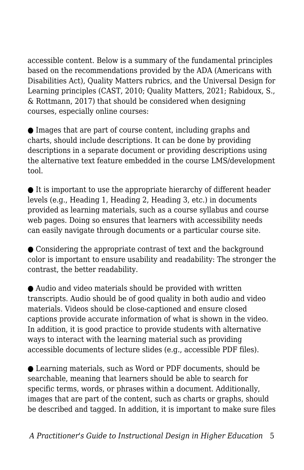accessible content. Below is a summary of the fundamental principles based on the recommendations provided by the ADA (Americans with Disabilities Act), Quality Matters rubrics, and the Universal Design for Learning principles (CAST, 2010; Quality Matters, 2021; Rabidoux, S., & Rottmann, 2017) that should be considered when designing courses, especially online courses:

● Images that are part of course content, including graphs and charts, should include descriptions. It can be done by providing descriptions in a separate document or providing descriptions using the alternative text feature embedded in the course LMS/development tool.

● It is important to use the appropriate hierarchy of different header levels (e.g., Heading 1, Heading 2, Heading 3, etc.) in documents provided as learning materials, such as a course syllabus and course web pages. Doing so ensures that learners with accessibility needs can easily navigate through documents or a particular course site.

● Considering the appropriate contrast of text and the background color is important to ensure usability and readability: The stronger the contrast, the better readability.

● Audio and video materials should be provided with written transcripts. Audio should be of good quality in both audio and video materials. Videos should be close-captioned and ensure closed captions provide accurate information of what is shown in the video. In addition, it is good practice to provide students with alternative ways to interact with the learning material such as providing accessible documents of lecture slides (e.g., accessible PDF files).

● Learning materials, such as Word or PDF documents, should be searchable, meaning that learners should be able to search for specific terms, words, or phrases within a document. Additionally, images that are part of the content, such as charts or graphs, should be described and tagged. In addition, it is important to make sure files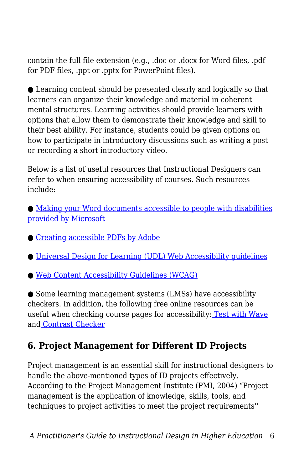contain the full file extension (e.g., .doc or .docx for Word files, .pdf for PDF files, .ppt or .pptx for PowerPoint files).

● Learning content should be presented clearly and logically so that learners can organize their knowledge and material in coherent mental structures. Learning activities should provide learners with options that allow them to demonstrate their knowledge and skill to their best ability. For instance, students could be given options on how to participate in introductory discussions such as writing a post or recording a short introductory video.

Below is a list of useful resources that Instructional Designers can refer to when ensuring accessibility of courses. Such resources include:

● [Making your Word documents accessible to people with disabilities](http://bit.ly/3ux0pO2) [provided by Microsoft](http://bit.ly/3ux0pO2)

- [Creating accessible PDFs by Adobe](http://adobe.ly/37Cgd8k)
- [Universal Design for Learning \(UDL\) Web Accessibility guidelines](http://bit.ly/37xCunJ)

● [Web Content Accessibility Guidelines \(WCAG\)](https://www.w3.org/WAI/standards-guidelines/wcag)

● Some learning management systems (LMSs) have accessibility checkers. In addition, the following free online resources can be useful when checking course pages for accessibility: [Test with Wave](https://webaim.org/resources/evalquickref/#wave) and [Contrast Checker](https://webaim.org/resources/contrastchecker/)

### **6. Project Management for Different ID Projects**

Project management is an essential skill for instructional designers to handle the above-mentioned types of ID projects effectively. According to the Project Management Institute (PMI, 2004) "Project management is the application of knowledge, skills, tools, and techniques to project activities to meet the project requirements''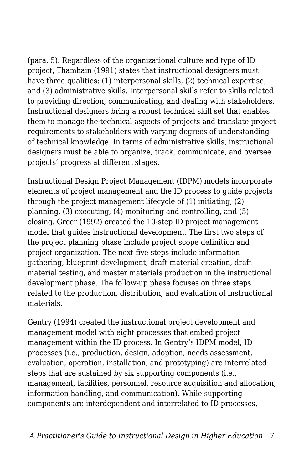(para. 5). Regardless of the organizational culture and type of ID project, Thamhain (1991) states that instructional designers must have three qualities: (1) interpersonal skills, (2) technical expertise, and (3) administrative skills. Interpersonal skills refer to skills related to providing direction, communicating, and dealing with stakeholders. Instructional designers bring a robust technical skill set that enables them to manage the technical aspects of projects and translate project requirements to stakeholders with varying degrees of understanding of technical knowledge. In terms of administrative skills, instructional designers must be able to organize, track, communicate, and oversee projects' progress at different stages.

Instructional Design Project Management (IDPM) models incorporate elements of project management and the ID process to guide projects through the project management lifecycle of (1) initiating, (2) planning, (3) executing, (4) monitoring and controlling, and (5) closing. Greer (1992) created the 10-step ID project management model that guides instructional development. The first two steps of the project planning phase include project scope definition and project organization. The next five steps include information gathering, blueprint development, draft material creation, draft material testing, and master materials production in the instructional development phase. The follow-up phase focuses on three steps related to the production, distribution, and evaluation of instructional materials.

Gentry (1994) created the instructional project development and management model with eight processes that embed project management within the ID process. In Gentry's IDPM model, ID processes (i.e., production, design, adoption, needs assessment, evaluation, operation, installation, and prototyping) are interrelated steps that are sustained by six supporting components (i.e., management, facilities, personnel, resource acquisition and allocation, information handling, and communication). While supporting components are interdependent and interrelated to ID processes,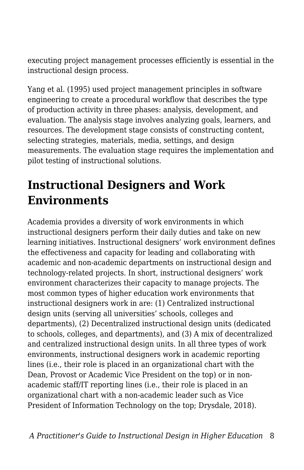executing project management processes efficiently is essential in the instructional design process.

Yang et al. (1995) used project management principles in software engineering to create a procedural workflow that describes the type of production activity in three phases: analysis, development, and evaluation. The analysis stage involves analyzing goals, learners, and resources. The development stage consists of constructing content, selecting strategies, materials, media, settings, and design measurements. The evaluation stage requires the implementation and pilot testing of instructional solutions.

## **Instructional Designers and Work Environments**

Academia provides a diversity of work environments in which instructional designers perform their daily duties and take on new learning initiatives. Instructional designers' work environment defines the effectiveness and capacity for leading and collaborating with academic and non-academic departments on instructional design and technology-related projects. In short, instructional designers' work environment characterizes their capacity to manage projects. The most common types of higher education work environments that instructional designers work in are: (1) Centralized instructional design units (serving all universities' schools, colleges and departments), (2) Decentralized instructional design units (dedicated to schools, colleges, and departments), and (3) A mix of decentralized and centralized instructional design units. In all three types of work environments, instructional designers work in academic reporting lines (i.e., their role is placed in an organizational chart with the Dean, Provost or Academic Vice President on the top) or in nonacademic staff/IT reporting lines (i.e., their role is placed in an organizational chart with a non-academic leader such as Vice President of Information Technology on the top; Drysdale, 2018).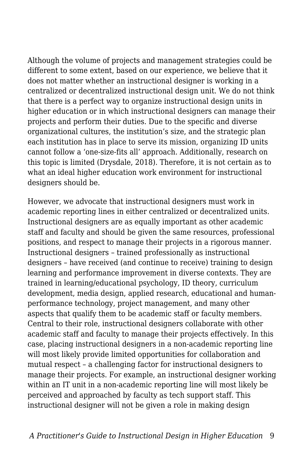Although the volume of projects and management strategies could be different to some extent, based on our experience, we believe that it does not matter whether an instructional designer is working in a centralized or decentralized instructional design unit. We do not think that there is a perfect way to organize instructional design units in higher education or in which instructional designers can manage their projects and perform their duties. Due to the specific and diverse organizational cultures, the institution's size, and the strategic plan each institution has in place to serve its mission, organizing ID units cannot follow a 'one-size-fits all' approach. Additionally, research on this topic is limited (Drysdale, 2018). Therefore, it is not certain as to what an ideal higher education work environment for instructional designers should be.

However, we advocate that instructional designers must work in academic reporting lines in either centralized or decentralized units. Instructional designers are as equally important as other academic staff and faculty and should be given the same resources, professional positions, and respect to manage their projects in a rigorous manner. Instructional designers – trained professionally as instructional designers – have received (and continue to receive) training to design learning and performance improvement in diverse contexts. They are trained in learning/educational psychology, ID theory, curriculum development, media design, applied research, educational and humanperformance technology, project management, and many other aspects that qualify them to be academic staff or faculty members. Central to their role, instructional designers collaborate with other academic staff and faculty to manage their projects effectively. In this case, placing instructional designers in a non-academic reporting line will most likely provide limited opportunities for collaboration and mutual respect – a challenging factor for instructional designers to manage their projects. For example, an instructional designer working within an IT unit in a non-academic reporting line will most likely be perceived and approached by faculty as tech support staff. This instructional designer will not be given a role in making design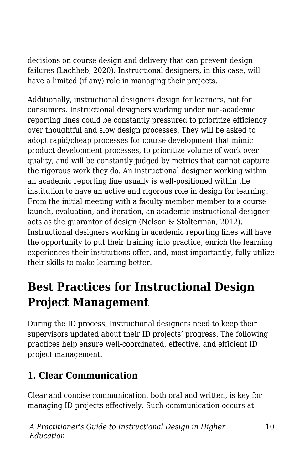decisions on course design and delivery that can prevent design failures (Lachheb, 2020). Instructional designers, in this case, will have a limited (if any) role in managing their projects.

Additionally, instructional designers design for learners, not for consumers. Instructional designers working under non-academic reporting lines could be constantly pressured to prioritize efficiency over thoughtful and slow design processes. They will be asked to adopt rapid/cheap processes for course development that mimic product development processes, to prioritize volume of work over quality, and will be constantly judged by metrics that cannot capture the rigorous work they do. An instructional designer working within an academic reporting line usually is well-positioned within the institution to have an active and rigorous role in design for learning. From the initial meeting with a faculty member member to a course launch, evaluation, and iteration, an academic instructional designer acts as the guarantor of design (Nelson & Stolterman, 2012). Instructional designers working in academic reporting lines will have the opportunity to put their training into practice, enrich the learning experiences their institutions offer, and, most importantly, fully utilize their skills to make learning better.

### **Best Practices for Instructional Design Project Management**

During the ID process, Instructional designers need to keep their supervisors updated about their ID projects' progress. The following practices help ensure well-coordinated, effective, and efficient ID project management.

### **1. Clear Communication**

Clear and concise communication, both oral and written, is key for managing ID projects effectively. Such communication occurs at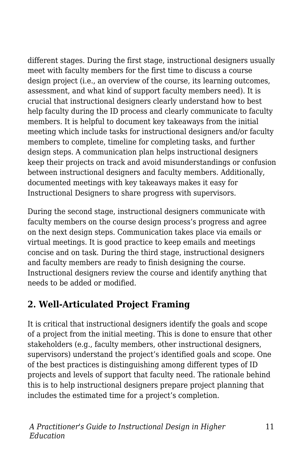different stages. During the first stage, instructional designers usually meet with faculty members for the first time to discuss a course design project (i.e., an overview of the course, its learning outcomes, assessment, and what kind of support faculty members need). It is crucial that instructional designers clearly understand how to best help faculty during the ID process and clearly communicate to faculty members. It is helpful to document key takeaways from the initial meeting which include tasks for instructional designers and/or faculty members to complete, timeline for completing tasks, and further design steps. A communication plan helps instructional designers keep their projects on track and avoid misunderstandings or confusion between instructional designers and faculty members. Additionally, documented meetings with key takeaways makes it easy for Instructional Designers to share progress with supervisors.

During the second stage, instructional designers communicate with faculty members on the course design process's progress and agree on the next design steps. Communication takes place via emails or virtual meetings. It is good practice to keep emails and meetings concise and on task. During the third stage, instructional designers and faculty members are ready to finish designing the course. Instructional designers review the course and identify anything that needs to be added or modified.

### **2. Well-Articulated Project Framing**

It is critical that instructional designers identify the goals and scope of a project from the initial meeting. This is done to ensure that other stakeholders (e.g., faculty members, other instructional designers, supervisors) understand the project's identified goals and scope. One of the best practices is distinguishing among different types of ID projects and levels of support that faculty need. The rationale behind this is to help instructional designers prepare project planning that includes the estimated time for a project's completion.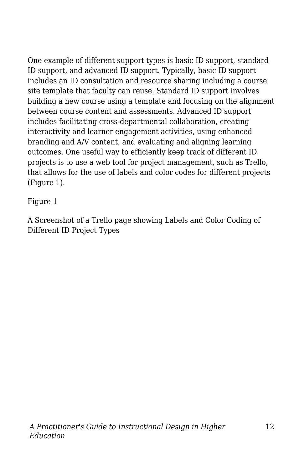One example of different support types is basic ID support, standard ID support, and advanced ID support. Typically, basic ID support includes an ID consultation and resource sharing including a course site template that faculty can reuse. Standard ID support involves building a new course using a template and focusing on the alignment between course content and assessments. Advanced ID support includes facilitating cross-departmental collaboration, creating interactivity and learner engagement activities, using enhanced branding and A/V content, and evaluating and aligning learning outcomes. One useful way to efficiently keep track of different ID projects is to use a web tool for project management, such as Trello, that allows for the use of labels and color codes for different projects (Figure 1).

Figure 1

A Screenshot of a Trello page showing Labels and Color Coding of Different ID Project Types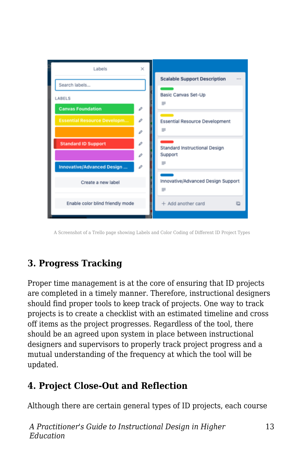

A Screenshot of a Trello page showing Labels and Color Coding of Different ID Project Types

### **3. Progress Tracking**

Proper time management is at the core of ensuring that ID projects are completed in a timely manner. Therefore, instructional designers should find proper tools to keep track of projects. One way to track projects is to create a checklist with an estimated timeline and cross off items as the project progresses. Regardless of the tool, there should be an agreed upon system in place between instructional designers and supervisors to properly track project progress and a mutual understanding of the frequency at which the tool will be updated.

### **4. Project Close-Out and Reflection**

Although there are certain general types of ID projects, each course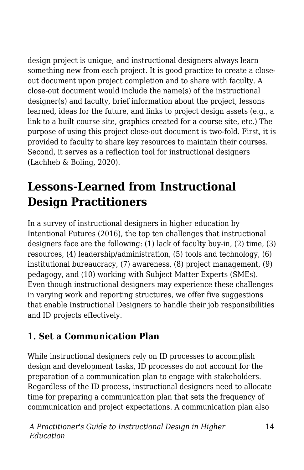design project is unique, and instructional designers always learn something new from each project. It is good practice to create a closeout document upon project completion and to share with faculty. A close-out document would include the name(s) of the instructional designer(s) and faculty, brief information about the project, lessons learned, ideas for the future, and links to project design assets (e.g., a link to a built course site, graphics created for a course site, etc.) The purpose of using this project close-out document is two-fold. First, it is provided to faculty to share key resources to maintain their courses. Second, it serves as a reflection tool for instructional designers (Lachheb & Boling, 2020).

# **Lessons-Learned from Instructional Design Practitioners**

In a survey of instructional designers in higher education by Intentional Futures (2016), the top ten challenges that instructional designers face are the following: (1) lack of faculty buy-in, (2) time, (3) resources, (4) leadership/administration, (5) tools and technology, (6) institutional bureaucracy, (7) awareness, (8) project management, (9) pedagogy, and (10) working with Subject Matter Experts (SMEs). Even though instructional designers may experience these challenges in varying work and reporting structures, we offer five suggestions that enable Instructional Designers to handle their job responsibilities and ID projects effectively.

### **1. Set a Communication Plan**

While instructional designers rely on ID processes to accomplish design and development tasks, ID processes do not account for the preparation of a communication plan to engage with stakeholders. Regardless of the ID process, instructional designers need to allocate time for preparing a communication plan that sets the frequency of communication and project expectations. A communication plan also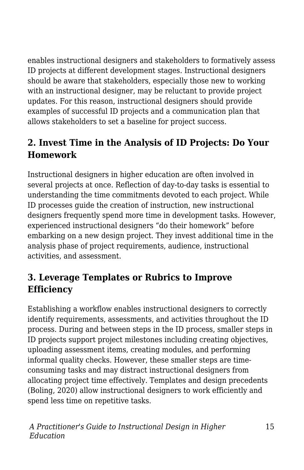enables instructional designers and stakeholders to formatively assess ID projects at different development stages. Instructional designers should be aware that stakeholders, especially those new to working with an instructional designer, may be reluctant to provide project updates. For this reason, instructional designers should provide examples of successful ID projects and a communication plan that allows stakeholders to set a baseline for project success.

### **2. Invest Time in the Analysis of ID Projects: Do Your Homework**

Instructional designers in higher education are often involved in several projects at once. Reflection of day-to-day tasks is essential to understanding the time commitments devoted to each project. While ID processes guide the creation of instruction, new instructional designers frequently spend more time in development tasks. However, experienced instructional designers "do their homework" before embarking on a new design project. They invest additional time in the analysis phase of project requirements, audience, instructional activities, and assessment.

### **3. Leverage Templates or Rubrics to Improve Efficiency**

Establishing a workflow enables instructional designers to correctly identify requirements, assessments, and activities throughout the ID process. During and between steps in the ID process, smaller steps in ID projects support project milestones including creating objectives, uploading assessment items, creating modules, and performing informal quality checks. However, these smaller steps are timeconsuming tasks and may distract instructional designers from allocating project time effectively. Templates and design precedents (Boling, 2020) allow instructional designers to work efficiently and spend less time on repetitive tasks.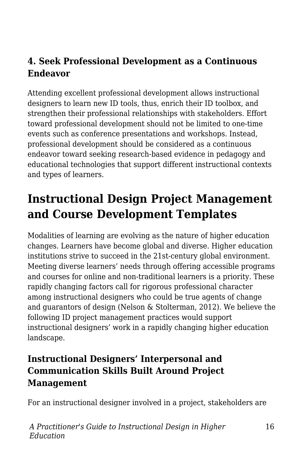### **4. Seek Professional Development as a Continuous Endeavor**

Attending excellent professional development allows instructional designers to learn new ID tools, thus, enrich their ID toolbox, and strengthen their professional relationships with stakeholders. Effort toward professional development should not be limited to one-time events such as conference presentations and workshops. Instead, professional development should be considered as a continuous endeavor toward seeking research-based evidence in pedagogy and educational technologies that support different instructional contexts and types of learners.

# **Instructional Design Project Management and Course Development Templates**

Modalities of learning are evolving as the nature of higher education changes. Learners have become global and diverse. Higher education institutions strive to succeed in the 21st-century global environment. Meeting diverse learners' needs through offering accessible programs and courses for online and non-traditional learners is a priority. These rapidly changing factors call for rigorous professional character among instructional designers who could be true agents of change and guarantors of design (Nelson & Stolterman, 2012). We believe the following ID project management practices would support instructional designers' work in a rapidly changing higher education landscape.

#### **Instructional Designers' Interpersonal and Communication Skills Built Around Project Management**

For an instructional designer involved in a project, stakeholders are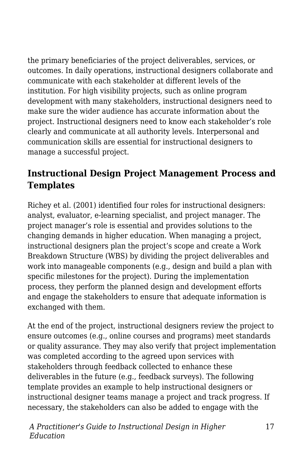the primary beneficiaries of the project deliverables, services, or outcomes. In daily operations, instructional designers collaborate and communicate with each stakeholder at different levels of the institution. For high visibility projects, such as online program development with many stakeholders, instructional designers need to make sure the wider audience has accurate information about the project. Instructional designers need to know each stakeholder's role clearly and communicate at all authority levels. Interpersonal and communication skills are essential for instructional designers to manage a successful project.

### **Instructional Design Project Management Process and Templates**

Richey et al. (2001) identified four roles for instructional designers: analyst, evaluator, e-learning specialist, and project manager. The project manager's role is essential and provides solutions to the changing demands in higher education. When managing a project, instructional designers plan the project's scope and create a Work Breakdown Structure (WBS) by dividing the project deliverables and work into manageable components (e.g., design and build a plan with specific milestones for the project). During the implementation process, they perform the planned design and development efforts and engage the stakeholders to ensure that adequate information is exchanged with them.

At the end of the project, instructional designers review the project to ensure outcomes (e.g., online courses and programs) meet standards or quality assurance. They may also verify that project implementation was completed according to the agreed upon services with stakeholders through feedback collected to enhance these deliverables in the future (e.g., feedback surveys). The following template provides an example to help instructional designers or instructional designer teams manage a project and track progress. If necessary, the stakeholders can also be added to engage with the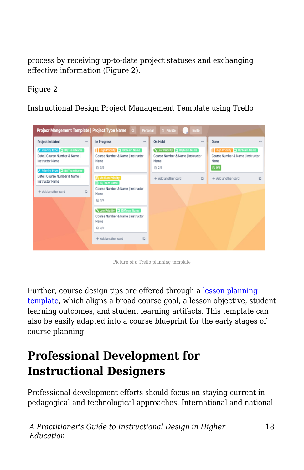process by receiving up-to-date project statuses and exchanging effective information (Figure 2).

#### Figure 2

Instructional Design Project Management Template using Trello



Picture of a Trello planning template

Further, course design tips are offered through a [lesson planning](https://drive.google.com/file/d/1V6ZtKqqgYuDyUiI-aD3o9YG-lZQZ1yqE/view?usp=sharing) [template](https://drive.google.com/file/d/1V6ZtKqqgYuDyUiI-aD3o9YG-lZQZ1yqE/view?usp=sharing), which aligns a broad course goal, a lesson objective, student learning outcomes, and student learning artifacts. This template can also be easily adapted into a course blueprint for the early stages of course planning.

### **Professional Development for Instructional Designers**

Professional development efforts should focus on staying current in pedagogical and technological approaches. International and national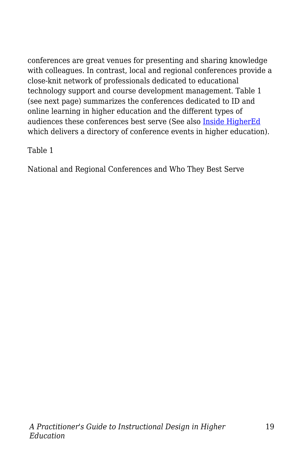conferences are great venues for presenting and sharing knowledge with colleagues. In contrast, local and regional conferences provide a close-knit network of professionals dedicated to educational technology support and course development management. Table 1 (see next page) summarizes the conferences dedicated to ID and online learning in higher education and the different types of audiences these conferences best serve (See also [Inside HigherEd](https://www.insidehighered.com/events_people) which delivers a directory of conference events in higher education).

Table 1

National and Regional Conferences and Who They Best Serve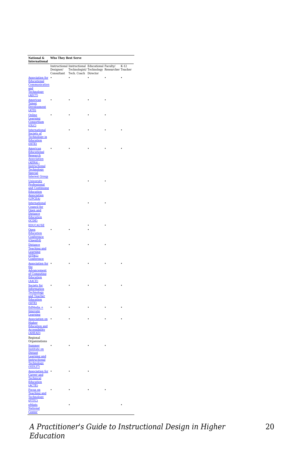| National &<br>International                                                                      | Who They Best Serve |                                                                                                                                       |   |  |  |  |
|--------------------------------------------------------------------------------------------------|---------------------|---------------------------------------------------------------------------------------------------------------------------------------|---|--|--|--|
|                                                                                                  | Consultant          | Instructional Instructional Educational Faculty/ K-12<br>Designer/ Technologist/Technology Researcher Teacher<br>Tech. Coach Director |   |  |  |  |
| <b>Association for</b><br>Educational<br>Communication                                           |                     | $\cdot$                                                                                                                               | ٠ |  |  |  |
| and<br>Technology<br><b>(AECT)</b>                                                               |                     |                                                                                                                                       |   |  |  |  |
| American<br>Talent<br>Development<br>(ATD)                                                       |                     |                                                                                                                                       |   |  |  |  |
| Online<br>Learning<br>Consortium                                                                 |                     |                                                                                                                                       |   |  |  |  |
| <b>OLCI</b><br>International                                                                     |                     |                                                                                                                                       |   |  |  |  |
| Society of<br><b>Technology</b> in<br>Education<br>(ISTE)                                        |                     |                                                                                                                                       |   |  |  |  |
| American<br>Educational<br>Research                                                              |                     |                                                                                                                                       |   |  |  |  |
| <b>Association</b><br>(AERA) -<br><b>Instructional</b><br>Technology                             |                     |                                                                                                                                       |   |  |  |  |
| <b>Special</b><br><b>Interest Group</b>                                                          |                     |                                                                                                                                       |   |  |  |  |
| University<br>Professional<br>and Continuing<br><b>Education</b><br><b>Association</b>           |                     |                                                                                                                                       |   |  |  |  |
| (UPCEA)<br>International<br><b>Council</b> for                                                   |                     |                                                                                                                                       |   |  |  |  |
| Open and<br>Distance<br><b>Education</b><br>(ICDE)                                               |                     |                                                                                                                                       |   |  |  |  |
| <b>EDUCAUSE</b><br>Open                                                                          |                     |                                                                                                                                       |   |  |  |  |
| Education<br>Conference<br>(OpenEd)                                                              |                     |                                                                                                                                       |   |  |  |  |
| <b>Distance</b><br><b>Teaching and</b><br>Learning<br>(DT&L)                                     |                     |                                                                                                                                       |   |  |  |  |
| Conference<br><b>Association for</b>                                                             |                     |                                                                                                                                       |   |  |  |  |
| the<br>Advancement<br>of Computing<br><b>Education</b><br>(AACE)                                 |                     |                                                                                                                                       |   |  |  |  |
| Society for<br><b>Information</b><br>Technology<br>and Teacher<br><b>Education</b>               |                     |                                                                                                                                       |   |  |  |  |
| (SITE)<br>EdMedia +<br>Innovate                                                                  |                     |                                                                                                                                       |   |  |  |  |
| Learning<br><b>Association on</b>                                                                |                     |                                                                                                                                       |   |  |  |  |
| Higher<br><b>Education and</b><br><b>Accessibility</b><br>(AHEAD)<br>Regional                    |                     |                                                                                                                                       |   |  |  |  |
| Organizations<br>Summer                                                                          |                     |                                                                                                                                       |   |  |  |  |
| <b>Institute on</b><br><b>Distant</b><br>Learning and<br>Instructional<br>Technology<br>(SIDLIT) |                     |                                                                                                                                       |   |  |  |  |
| Association for •<br><b>Career</b> and<br><b>Technical</b><br>Education<br>(ACTE)                |                     |                                                                                                                                       |   |  |  |  |
| <b>Focus</b> on<br><b>Teaching</b> and<br>Technology<br>(FTTC)                                   |                     |                                                                                                                                       |   |  |  |  |
| eMints<br><b>National</b><br>Center                                                              |                     |                                                                                                                                       |   |  |  |  |

*A Practitioner's Guide to Instructional Design in Higher Education*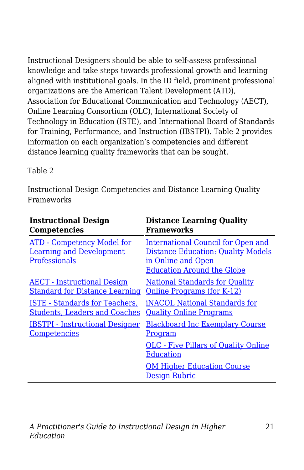Instructional Designers should be able to self-assess professional knowledge and take steps towards professional growth and learning aligned with institutional goals. In the ID field, prominent professional organizations are the American Talent Development (ATD), Association for Educational Communication and Technology (AECT), Online Learning Consortium (OLC), International Society of Technology in Education (ISTE), and International Board of Standards for Training, Performance, and Instruction (IBSTPI). Table 2 provides information on each organization's competencies and different distance learning quality frameworks that can be sought.

#### Table 2

Instructional Design Competencies and Distance Learning Quality Frameworks

| <b>Instructional Design</b>                                                                  | <b>Distance Learning Quality</b>                                                                                                                  |
|----------------------------------------------------------------------------------------------|---------------------------------------------------------------------------------------------------------------------------------------------------|
| Competencies                                                                                 | Frameworks                                                                                                                                        |
| <b>ATD</b> - Competency Model for<br><b>Learning and Development</b><br><b>Professionals</b> | <b>International Council for Open and</b><br><b>Distance Education: Quality Models</b><br>in Online and Open<br><b>Education Around the Globe</b> |
| <b>AECT</b> - Instructional Design                                                           | <b>National Standards for Quality</b>                                                                                                             |
| <b>Standard for Distance Learning</b>                                                        | Online Programs (for K-12)                                                                                                                        |
| <b>ISTE</b> - Standards for Teachers,                                                        | iNACOL National Standards for                                                                                                                     |
| <b>Students, Leaders and Coaches</b>                                                         | <b>Quality Online Programs</b>                                                                                                                    |
| <b>IBSTPI - Instructional Designer</b>                                                       | <b>Blackboard Inc Exemplary Course</b>                                                                                                            |
| Competencies                                                                                 | <u>Program</u>                                                                                                                                    |
|                                                                                              | <b>OLC</b> - Five Pillars of Quality Online<br><b>Education</b>                                                                                   |
|                                                                                              | <b>QM Higher Education Course</b><br><b>Design Rubric</b>                                                                                         |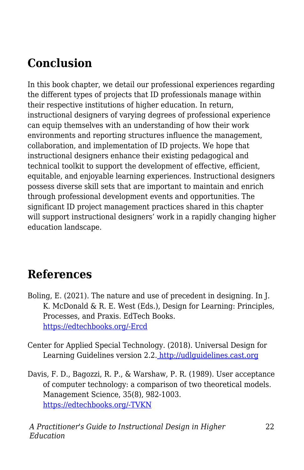# **Conclusion**

In this book chapter, we detail our professional experiences regarding the different types of projects that ID professionals manage within their respective institutions of higher education. In return, instructional designers of varying degrees of professional experience can equip themselves with an understanding of how their work environments and reporting structures influence the management, collaboration, and implementation of ID projects. We hope that instructional designers enhance their existing pedagogical and technical toolkit to support the development of effective, efficient, equitable, and enjoyable learning experiences. Instructional designers possess diverse skill sets that are important to maintain and enrich through professional development events and opportunities. The significant ID project management practices shared in this chapter will support instructional designers' work in a rapidly changing higher education landscape.

### **References**

- Boling, E. (2021). The nature and use of precedent in designing. In J. K. McDonald & R. E. West (Eds.), Design for Learning: Principles, Processes, and Praxis. EdTech Books. [https://edtechbooks.org/-Ercd](https://edtechbooks.org/id/precedent)
- Center for Applied Special Technology. (2018). Universal Design for Learning Guidelines version 2.2. [http://udlguidelines.cast.org](http://udlguidelines.cast.org/)
- Davis, F. D., Bagozzi, R. P., & Warshaw, P. R. (1989). User acceptance of computer technology: a comparison of two theoretical models. Management Science, 35(8), 982-1003. [https://edtechbooks.org/-TVKN](https://doi.org/10.1287/mnsc.35.8.982)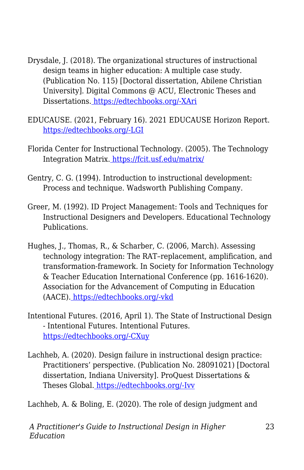- Drysdale, J. (2018). The organizational structures of instructional design teams in higher education: A multiple case study. (Publication No. 115) [Doctoral dissertation, Abilene Christian University]. Digital Commons @ ACU, Electronic Theses and Dissertations[.](https://digitalcommons.acu.edu/etd/115/) [https://edtechbooks.org/-XAri](https://digitalcommons.acu.edu/etd/115/)
- EDUCAUSE. (2021, February 16). 2021 EDUCAUSE Horizon Report. [https://edtechbooks.org/-LGI](https://library.educause.edu/resources/2021/2/2021-educause-horizon-report-information-security-edition)
- Florida Center for Instructional Technology. (2005). The Technology Integration Matrix. <https://fcit.usf.edu/matrix/>
- Gentry, C. G. (1994). Introduction to instructional development: Process and technique. Wadsworth Publishing Company.
- Greer, M. (1992). ID Project Management: Tools and Techniques for Instructional Designers and Developers. Educational Technology Publications.
- Hughes, J., Thomas, R., & Scharber, C. (2006, March). Assessing technology integration: The RAT–replacement, amplification, and transformation-framework. In Society for Information Technology & Teacher Education International Conference (pp. 1616-1620). Association for the Advancement of Computing in Education (AACE)[.](https://www.learntechlib.org/primary/p/22293/) [https://edtechbooks.org/-vkd](https://www.learntechlib.org/primary/p/22293/)
- Intentional Futures. (2016, April 1). The State of Instructional Design - Intentional Futures. Intentional Futures. [https://edtechbooks.org/-CXuy](https://intentionalfutures.com/work/instructional-design/)
- Lachheb, A. (2020). Design failure in instructional design practice: Practitioners' perspective. (Publication No. 28091021) [Doctoral dissertation, Indiana University]. ProQuest Dissertations & Theses Global. [https://edtechbooks.org/-Ivv](https://proxyiub.uits.iu.edu/login?qurl=https%3A%2F%2Fwww.proquest.com%2Fdissertations-theses%2Fdesign-failure-instructional-practice%2Fdocview%2F2445576286%2Fse-2%3Faccountid%3D11620)

Lachheb, A. & Boling, E. (2020). The role of design judgment and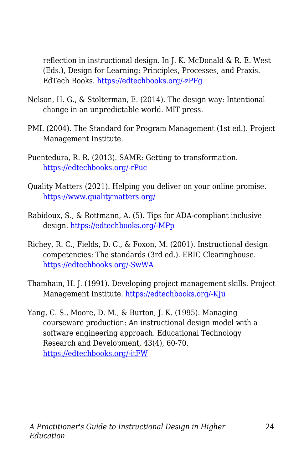reflection in instructional design. In J. K. McDonald & R. E. West (Eds.), Design for Learning: Principles, Processes, and Praxis. EdTech Books. [https://edtechbooks.org/-zPFg](https://edtechbooks.org/id/design_judgment)

- Nelson, H. G., & Stolterman, E. (2014). The design way: Intentional change in an unpredictable world. MIT press.
- PMI. (2004). The Standard for Program Management (1st ed.). Project Management Institute.
- Puentedura, R. R. (2013). SAMR: Getting to transformation. [https://edtechbooks.org/-rPuc](http://www.hippasus.com/rrpweblog/archives/2013/04/16/SAMRGettingToTransformation.pdf)
- Quality Matters (2021). Helping you deliver on your online promise. <https://www.qualitymatters.org/>
- Rabidoux, S., & Rottmann, A. (5). Tips for ADA-compliant inclusive design. [https://edtechbooks.org/-MPp](https://www.insidehighered.com/digital-learning/views/2017/05/03/tips-designing-ada-compliant-online-courses)
- Richey, R. C., Fields, D. C., & Foxon, M. (2001). Instructional design competencies: The standards (3rd ed.). ERIC Clearinghouse. [https://edtechbooks.org/-SwWA](https://eric.ed.gov/?id=ED453803)
- Thamhain, H. J. (1991). Developing project management skills. Project Management Institute. [https://edtechbooks.org/-KJu](https://www.pmi.org/learning/library/learning-leadership-developing-skills-5334)
- Yang, C. S., Moore, D. M., & Burton, J. K. (1995). Managing courseware production: An instructional design model with a software engineering approach. Educational Technology Research and Development, 43(4), 60-70. [https://edtechbooks.org/-itFW](https://doi.org/10.1007/BF02300491)